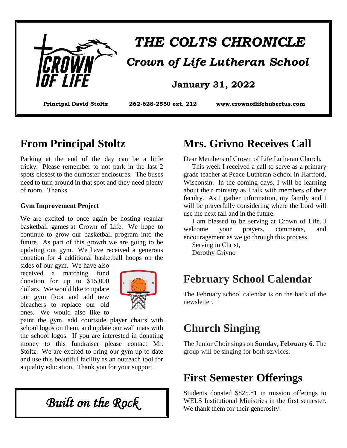

# *THE COLTS CHRONICLE Crown of Life Lutheran School*

#### **January 31, 2022**

**Principal David Stoltz 262-628-2550 ext. 212 www.crownoflifehubertus.com**

#### **From Principal Stoltz**

Parking at the end of the day can be a little tricky. Please remember to not park in the last 2 spots closest to the dumpster enclosures. The buses need to turn around in that spot and they need plenty of room. Thanks

#### **Gym Improvement Project**

We are excited to once again be hosting regular basketball games at Crown of Life. We hope to continue to grow our basketball program into the future. As part of this growth we are going to be updating our gym. We have received a generous donation for 4 additional basketball hoops on the sides of our gym. We have also

received a matching fund donation for up to \$15,000 dollars. We would like to update our gym floor and add new bleachers to replace our old ones. We would also like to



paint the gym, add courtside player chairs with school logos on them, and update our wall mats with the school logos. If you are interested in donating money to this fundraiser please contact Mr. Stoltz. We are excited to bring our gym up to date and use this beautiful facility as an outreach tool for a quality education. Thank you for your support.

*Built on the Rock* 

#### **Mrs. Grivno Receives Call**

Dear Members of Crown of Life Lutheran Church,

 This week I received a call to serve as a primary grade teacher at Peace Lutheran School in Hartford, Wisconsin. In the coming days, I will be learning about their ministry as I talk with members of their faculty. As I gather information, my family and I will be prayerfully considering where the Lord will use me next fall and in the future.

 I am blessed to be serving at Crown of Life. I welcome your prayers, comments, and encouragement as we go through this process.

 Serving in Christ, Dorothy Grivno

# **February School Calendar**

The February school calendar is on the back of the newsletter.

# **Church Singing**

The Junior Choir sings on **Sunday, February 6**. The group will be singing for both services.

#### **First Semester Offerings**

Students donated \$825.81 in mission offerings to WELS Institutional Ministries in the first semester. We thank them for their generosity!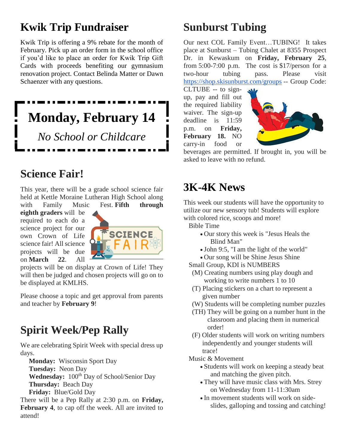# **Kwik Trip Fundraiser**

Kwik Trip is offering a 9% rebate for the month of February. Pick up an order form in the school office if you'd like to place an order for Kwik Trip Gift Cards with proceeds benefiting our gymnasium renovation project. Contact Belinda Matter or Dawn Schaenzer with any questions.

# **Monday, February 14** *No School or Childcare*

# **Science Fair!**

This year, there will be a grade school science fair held at Kettle Moraine Lutheran High School along with Family Music Fest. **Fifth through** 

**eighth graders** will be required to each do a science project for our own Crown of Life science fair! All science projects will be due on **March 22**. All



projects will be on display at Crown of Life! They will then be judged and chosen projects will go on to be displayed at KMLHS.

Please choose a topic and get approval from parents and teacher by **February 9**!

# **Spirit Week/Pep Rally**

We are celebrating Spirit Week with special dress up days.

**Monday:** Wisconsin Sport Day

**Tuesday:** Neon Day

Wednesday:  $100^{th}$  Day of School/Senior Day **Thursday:** Beach Day

**Friday:** Blue/Gold Day

There will be a Pep Rally at 2:30 p.m. on **Friday, February 4**, to cap off the week. All are invited to attend!

# **Sunburst Tubing**

Our next COL Family Event…TUBING! It takes place at Sunburst – Tubing Chalet at 8355 Prospect Dr. in Kewaskum on **Friday, February 25**, from 5:00-7:00 p.m. The cost is \$17/person for a two-hour tubing pass. Please visit https://shop.skisunburst.com/groups -- Group Code:

CLTUBE -- to signup, pay and fill out the required liability waiver. The sign-up deadline is 11:59 p.m. on **Friday, February 18.** NO carry-in food or



beverages are permitted. If brought in, you will be asked to leave with no refund.

# **3K-4K News**

This week our students will have the opportunity to utilize our new sensory tub! Students will explore with colored rice, scoops and more!

- Bible Time
	- Our story this week is "Jesus Heals the Blind Man"
	- John 9:5, "I am the light of the world"
	- Our song will be Shine Jesus Shine
- Small Group, KDI is NUMBERS
- (M) Creating numbers using play dough and working to write numbers 1 to 10
- (T) Placing stickers on a chart to represent a given number
- (W) Students will be completing number puzzles
- (TH) They will be going on a number hunt in the classroom and placing them in numerical order!
- (F) Older students will work on writing numbers independently and younger students will trace!
- Music & Movement
	- Students will work on keeping a steady beat and matching the given pitch.
	- They will have music class with Mrs. Strey on Wednesday from 11-11:30am
	- In movement students will work on sideslides, galloping and tossing and catching!